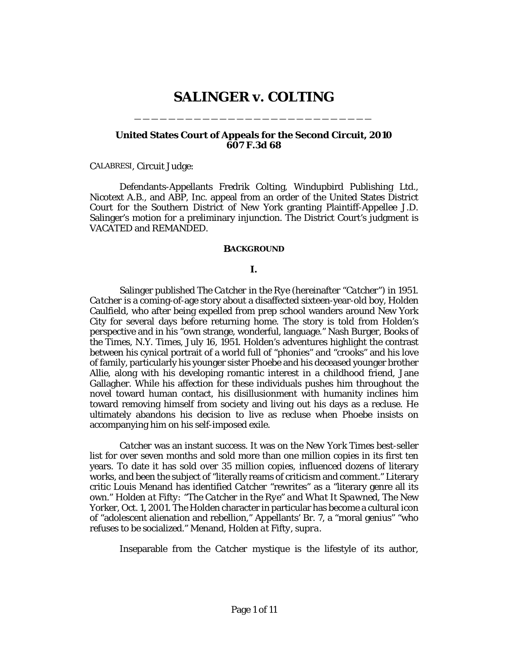# **SALINGER v. COLTING**

\_\_\_\_\_\_\_\_\_\_\_\_\_\_\_\_\_\_\_\_\_\_\_\_\_\_\_\_

## **United States Court of Appeals for the Second Circuit, 2010 607 F.3d 68**

CALABRESI, Circuit Judge:

Defendants-Appellants Fredrik Colting, Windupbird Publishing Ltd., Nicotext A.B., and ABP, Inc. appeal from an order of the United States District Court for the Southern District of New York granting Plaintiff-Appellee J.D. Salinger's motion for a preliminary injunction. The District Court's judgment is VACATED and REMANDED.

#### **BACKGROUND**

### **I.**

Salinger published *The Catcher in the Rye* (hereinafter "*Catcher*") in 1951. *Catcher* is a coming-of-age story about a disaffected sixteen-year-old boy, Holden Caulfield, who after being expelled from prep school wanders around New York City for several days before returning home. The story is told from Holden's perspective and in his "own strange, wonderful, language." Nash Burger, *Books of the Times*, N.Y. Times, July 16, 1951. Holden's adventures highlight the contrast between his cynical portrait of a world full of "phonies" and "crooks" and his love of family, particularly his younger sister Phoebe and his deceased younger brother Allie, along with his developing romantic interest in a childhood friend, Jane Gallagher. While his affection for these individuals pushes him throughout the novel toward human contact, his disillusionment with humanity inclines him toward removing himself from society and living out his days as a recluse. He ultimately abandons his decision to live as recluse when Phoebe insists on accompanying him on his self-imposed exile.

*Catcher* was an instant success. It was on the *New York Times* best-seller list for over seven months and sold more than one million copies in its first ten years. To date it has sold over 35 million copies, influenced dozens of literary works, and been the subject of "literally reams of criticism and comment." Literary critic Louis Menand has identified *Catcher* "rewrites" as a "literary genre all its own." *Holden at Fifty:* "*The Catcher in the Rye" and What It Spawned*, The New Yorker, Oct. 1, 2001. The Holden character in particular has become a cultural icon of "adolescent alienation and rebellion," Appellants' Br. 7, a "moral genius" "who refuses to be socialized." Menand, *Holden at Fifty*, *supra.*

Inseparable from the *Catcher* mystique is the lifestyle of its author,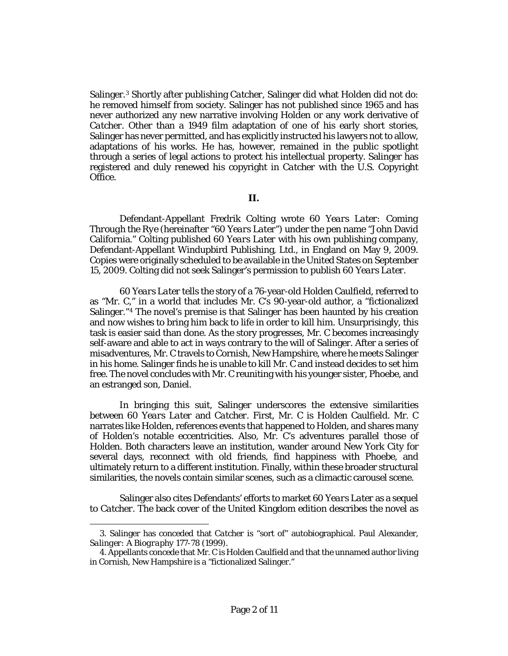Salinger[.3](#page-1-0) Shortly after publishing *Catcher,* Salinger did what Holden did not do: he removed himself from society. Salinger has not published since 1965 and has never authorized any new narrative involving Holden or any work derivative of *Catcher.* Other than a 1949 film adaptation of one of his early short stories, Salinger has never permitted, and has explicitly instructed his lawyers not to allow, adaptations of his works. He has, however, remained in the public spotlight through a series of legal actions to protect his intellectual property. Salinger has registered and duly renewed his copyright in *Catcher* with the U.S. Copyright Office.

**II.**

Defendant-Appellant Fredrik Colting wrote *60 Years Later: Coming Through the Rye* (hereinafter "*60 Years Later*") under the pen name "John David California." Colting published *60 Years Later* with his own publishing company, Defendant-Appellant Windupbird Publishing, Ltd., in England on May 9, 2009. Copies were originally scheduled to be available in the United States on September 15, 2009. Colting did not seek Salinger's permission to publish *60 Years Later*.

*60 Years Later* tells the story of a 76-year-old Holden Caulfield, referred to as "Mr. C," in a world that includes Mr. C's 90-year-old author, a "fictionalized Salinger."[4](#page-1-1) The novel's premise is that Salinger has been haunted by his creation and now wishes to bring him back to life in order to kill him. Unsurprisingly, this task is easier said than done. As the story progresses, Mr. C becomes increasingly self-aware and able to act in ways contrary to the will of Salinger. After a series of misadventures, Mr. C travels to Cornish, New Hampshire, where he meets Salinger in his home. Salinger finds he is unable to kill Mr. C and instead decides to set him free. The novel concludes with Mr. C reuniting with his younger sister, Phoebe, and an estranged son, Daniel.

In bringing this suit, Salinger underscores the extensive similarities between *60 Years Later* and *Catcher.* First, Mr. C is Holden Caulfield. Mr. C narrates like Holden, references events that happened to Holden, and shares many of Holden's notable eccentricities. Also, Mr. C's adventures parallel those of Holden. Both characters leave an institution, wander around New York City for several days, reconnect with old friends, find happiness with Phoebe, and ultimately return to a different institution. Finally, within these broader structural similarities, the novels contain similar scenes, such as a climactic carousel scene.

Salinger also cites Defendants' efforts to market *60 Years Later* as a sequel to *Catcher.* The back cover of the United Kingdom edition describes the novel as

 $\overline{a}$ 

<span id="page-1-0"></span><sup>3.</sup> Salinger has conceded that *Catcher* is "sort of" autobiographical. Paul Alexander, *Salinger: A Biography* 177-78 (1999).

<span id="page-1-1"></span><sup>4.</sup> Appellants concede that Mr. C is Holden Caulfield and that the unnamed author living in Cornish, New Hampshire is a "fictionalized Salinger."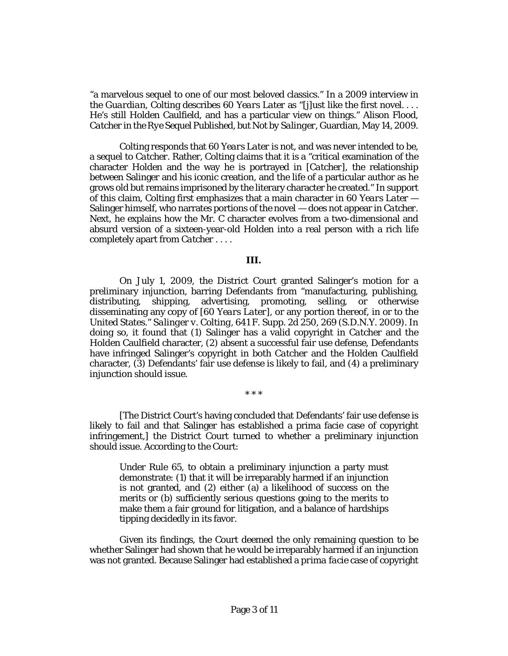"a marvelous sequel to one of our most beloved classics." In a 2009 interview in the *Guardian,* Colting describes *60 Years Later* as "[j]ust like the first novel. . . . He's still Holden Caulfield, and has a particular view on things." Alison Flood, *Catcher in the Rye Sequel Published, but Not by Salinger*, Guardian, May 14, 2009.

Colting responds that *60 Years Later* is not, and was never intended to be, a sequel to *Catcher.* Rather, Colting claims that it is a "critical examination of the character Holden and the way he is portrayed in [*Catcher*], the relationship between Salinger and his iconic creation, and the life of a particular author as he grows old but remains imprisoned by the literary character he created." In support of this claim, Colting first emphasizes that a main character in *60 Years Later* — Salinger himself, who narrates portions of the novel — does not appear in *Catcher.* Next, he explains how the Mr. C character evolves from a two-dimensional and absurd version of a sixteen-year-old Holden into a real person with a rich life completely apart from *Catcher . . . .* 

#### **III.**

On July 1, 2009, the District Court granted Salinger's motion for a preliminary injunction, barring Defendants from "manufacturing, publishing, distributing, shipping, advertising, promoting, selling, or otherwise distributing, shipping, advertising, promoting, selling, or otherwise disseminating any copy of [*60 Years Later*], or any portion thereof, in or to the United States." *Salinger v. Colting*, 641 F. Supp. 2d 250, 269 (S.D.N.Y. 2009). In doing so, it found that (1) Salinger has a valid copyright in *Catcher* and the Holden Caulfield character, (2) absent a successful fair use defense, Defendants have infringed Salinger's copyright in both *Catcher* and the Holden Caulfield character, (3) Defendants' fair use defense is likely to fail, and (4) a preliminary injunction should issue.

\* \* \*

[The District Court's having concluded that Defendants' fair use defense is likely to fail and that Salinger has established a prima facie case of copyright infringement,] the District Court turned to whether a preliminary injunction should issue. According to the Court:

Under Rule 65, to obtain a preliminary injunction a party must demonstrate: (1) that it will be irreparably harmed if an injunction is not granted, and (2) either (a) a likelihood of success on the merits or (b) sufficiently serious questions going to the merits to make them a fair ground for litigation, and a balance of hardships tipping decidedly in its favor.

Given its findings, the Court deemed the only remaining question to be whether Salinger had shown that he would be irreparably harmed if an injunction was not granted. Because Salinger had established a *prima facie* case of copyright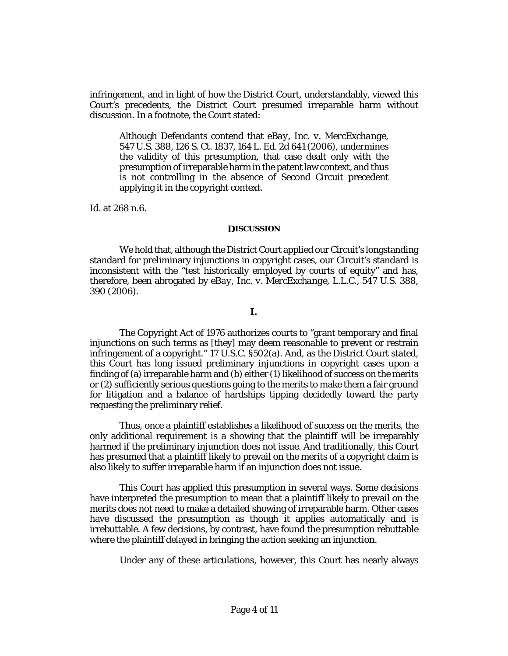infringement, and in light of how the District Court, understandably, viewed this Court's precedents, the District Court presumed irreparable harm without discussion. In a footnote, the Court stated:

Although Defendants contend that *eBay, Inc. v. MercExchange*, 547 U.S. 388, 126 S. Ct. 1837, 164 L. Ed. 2d 641 (2006), undermines the validity of this presumption, that case dealt only with the presumption of irreparable harm in the patent law context, and thus is not controlling in the absence of Second Circuit precedent applying it in the copyright context.

*Id.* at 268 n.6.

#### **DISCUSSION**

We hold that, although the District Court applied our Circuit's longstanding standard for preliminary injunctions in copyright cases, our Circuit's standard is inconsistent with the "test historically employed by courts of equity" and has, therefore, been abrogated by *eBay, Inc. v. MercExchange, L.L.C.*, 547 U.S. 388, 390 (2006).

**I.**

The Copyright Act of 1976 authorizes courts to "grant temporary and final injunctions on such terms as [they] may deem reasonable to prevent or restrain infringement of a copyright." 17 U.S.C. §502(a). And, as the District Court stated, this Court has long issued preliminary injunctions in copyright cases upon a finding of (a) irreparable harm and (b) either (1) likelihood of success on the merits or (2) sufficiently serious questions going to the merits to make them a fair ground for litigation and a balance of hardships tipping decidedly toward the party requesting the preliminary relief.

Thus, once a plaintiff establishes a likelihood of success on the merits, the only additional requirement is a showing that the plaintiff will be irreparably harmed if the preliminary injunction does not issue. And traditionally, this Court has presumed that a plaintiff likely to prevail on the merits of a copyright claim is also likely to suffer irreparable harm if an injunction does not issue.

This Court has applied this presumption in several ways. Some decisions have interpreted the presumption to mean that a plaintiff likely to prevail on the merits does not need to make a detailed showing of irreparable harm. Other cases have discussed the presumption as though it applies automatically and is irrebuttable. A few decisions, by contrast, have found the presumption rebuttable where the plaintiff delayed in bringing the action seeking an injunction.

Under any of these articulations, however, this Court has nearly always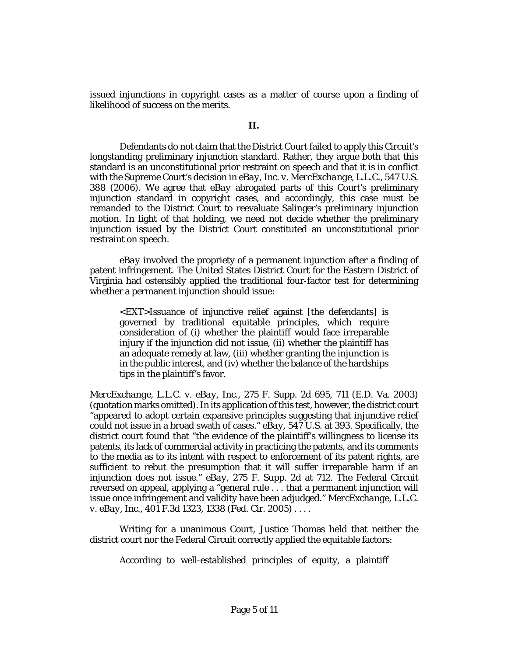issued injunctions in copyright cases as a matter of course upon a finding of likelihood of success on the merits.

## **II.**

Defendants do not claim that the District Court failed to apply this Circuit's longstanding preliminary injunction standard. Rather, they argue both that this standard is an unconstitutional prior restraint on speech and that it is in conflict with the Supreme Court's decision in *eBay, Inc. v. MercExchange, L.L.C.*, 547 U.S. 388 (2006). We agree that *eBay* abrogated parts of this Court's preliminary injunction standard in copyright cases, and accordingly, this case must be remanded to the District Court to reevaluate Salinger's preliminary injunction motion. In light of that holding, we need not decide whether the preliminary injunction issued by the District Court constituted an unconstitutional prior restraint on speech.

*eBay* involved the propriety of a permanent injunction after a finding of patent infringement. The United States District Court for the Eastern District of Virginia had ostensibly applied the traditional four-factor test for determining whether a permanent injunction should issue:

<EXT>Issuance of injunctive relief against [the defendants] is governed by traditional equitable principles, which require consideration of (i) whether the plaintiff would face irreparable injury if the injunction did not issue, (ii) whether the plaintiff has an adequate remedy at law, (iii) whether granting the injunction is in the public interest, and (iv) whether the balance of the hardships tips in the plaintiff's favor.

*MercExchange, L.L.C. v. eBay, Inc.*, 275 F. Supp. 2d 695, 711 (E.D. Va. 2003) (quotation marks omitted). In its application of this test, however, the district court "appeared to adopt certain expansive principles suggesting that injunctive relief could not issue in a broad swath of cases." *eBay*, 547 U.S. at 393. Specifically, the district court found that "the evidence of the plaintiff's willingness to license its patents, its lack of commercial activity in practicing the patents, and its comments to the media as to its intent with respect to enforcement of its patent rights, are sufficient to rebut the presumption that it will suffer irreparable harm if an injunction does not issue." *eBay*, 275 F. Supp. 2d at 712. The Federal Circuit reversed on appeal, applying a "general rule . . . that a permanent injunction will issue once infringement and validity have been adjudged." *MercExchange, L.L.C. v. eBay, Inc.*, 401 F.3d 1323, 1338 (Fed. Cir. 2005) . . . .

Writing for a unanimous Court, Justice Thomas held that neither the district court nor the Federal Circuit correctly applied the equitable factors:

According to well-established principles of equity, a plaintiff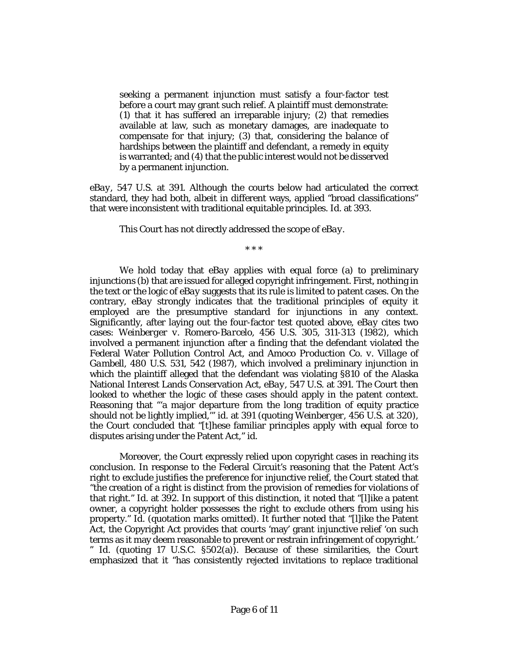seeking a permanent injunction must satisfy a four-factor test before a court may grant such relief. A plaintiff must demonstrate: (1) that it has suffered an irreparable injury; (2) that remedies available at law, such as monetary damages, are inadequate to compensate for that injury; (3) that, considering the balance of hardships between the plaintiff and defendant, a remedy in equity is warranted; and (4) that the public interest would not be disserved by a permanent injunction.

*eBay*, 547 U.S. at 391. Although the courts below had articulated the correct standard, they had both, albeit in different ways, applied "broad classifications" that were inconsistent with traditional equitable principles. *Id.* at 393.

This Court has not directly addressed the scope of *eBay.*

\* \* \*

We hold today that *eBay* applies with equal force (a) to preliminary injunctions (b) that are issued for alleged copyright infringement. First, nothing in the text or the logic of *eBay* suggests that its rule is limited to patent cases. On the contrary, *eBay* strongly indicates that the traditional principles of equity it employed are the presumptive standard for injunctions in any context. Significantly, after laying out the four-factor test quoted above, *eBay* cites two cases: *Weinberger v. Romero-Barcelo*, 456 U.S. 305, 311-313 (1982), which involved a permanent injunction after a finding that the defendant violated the Federal Water Pollution Control Act, and *Amoco Production Co. v. Village of Gambell*, 480 U.S. 531, 542 (1987), which involved a preliminary injunction in which the plaintiff alleged that the defendant was violating §810 of the Alaska National Interest Lands Conservation Act, *eBay*, 547 U.S. at 391. The Court then looked to whether the logic of these cases should apply in the patent context. Reasoning that "'a major departure from the long tradition of equity practice should not be lightly implied,'" *id.* at 391 (quoting *Weinberger*, 456 U.S. at 320), the Court concluded that "[t]hese familiar principles apply with equal force to disputes arising under the Patent Act," *id.*

Moreover, the Court expressly relied upon copyright cases in reaching its conclusion. In response to the Federal Circuit's reasoning that the Patent Act's right to exclude justifies the preference for injunctive relief, the Court stated that "the creation of a right is distinct from the provision of remedies for violations of that right." *Id.* at 392. In support of this distinction, it noted that "[l]ike a patent owner, a copyright holder possesses the right to exclude others from using his property." *Id.* (quotation marks omitted). It further noted that "[l]ike the Patent Act, the Copyright Act provides that courts 'may' grant injunctive relief 'on such terms as it may deem reasonable to prevent or restrain infringement of copyright.' " *Id.* (quoting 17 U.S.C. §502(a)). Because of these similarities, the Court emphasized that it "has consistently rejected invitations to replace traditional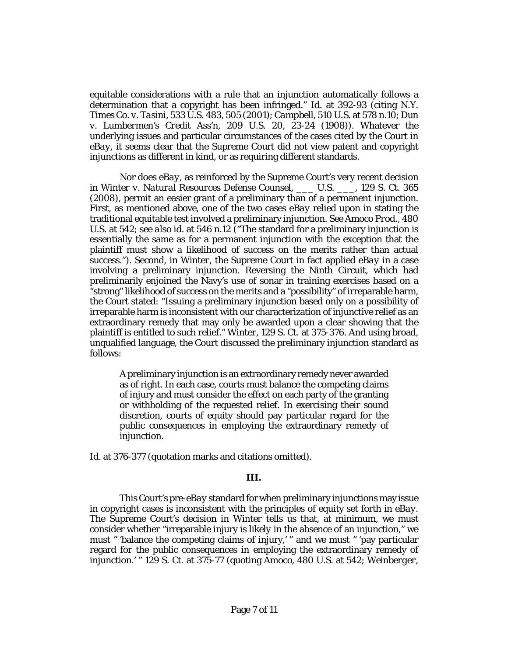equitable considerations with a rule that an injunction automatically follows a determination that a copyright has been infringed." *Id.* at 392-93 (citing *N.Y. Times Co. v. Tasini*, 533 U.S. 483, 505 (2001); *Campbell*, 510 U.S. at 578 n.10; *Dun v. Lumbermen's Credit Ass'n*, 209 U.S. 20, 23-24 (1908)). Whatever the underlying issues and particular circumstances of the cases cited by the Court in *eBay*, it seems clear that the Supreme Court did not view patent and copyright injunctions as different in kind, or as requiring different standards.

Nor does *eBay*, as reinforced by the Supreme Court's very recent decision in *Winter v. Natural Resources Defense Counsel*, \_\_\_ U.S. \_\_\_, 129 S. Ct. 365 (2008), permit an easier grant of a preliminary than of a permanent injunction. First, as mentioned above, one of the two cases *eBay* relied upon in stating the traditional equitable test involved a preliminary injunction. *See Amoco Prod.*, 480 U.S. at 542; *see also id.* at 546 n.12 ("The standard for a preliminary injunction is essentially the same as for a permanent injunction with the exception that the plaintiff must show a likelihood of success on the merits rather than actual success."). Second, in *Winter*, the Supreme Court in fact applied *eBay* in a case involving a preliminary injunction. Reversing the Ninth Circuit, which had preliminarily enjoined the Navy's use of sonar in training exercises based on a "strong" likelihood of success on the merits and a "possibility" of irreparable harm, the Court stated: "Issuing a preliminary injunction based only on a possibility of irreparable harm is inconsistent with our characterization of injunctive relief as an extraordinary remedy that may only be awarded upon a clear showing that the plaintiff is entitled to such relief." *Winter*, 129 S. Ct. at 375-376. And using broad, unqualified language, the Court discussed the preliminary injunction standard as follows:

A preliminary injunction is an extraordinary remedy never awarded as of right. In each case, courts must balance the competing claims of injury and must consider the effect on each party of the granting or withholding of the requested relief. In exercising their sound discretion, courts of equity should pay particular regard for the public consequences in employing the extraordinary remedy of injunction.

*Id.* at 376-377 (quotation marks and citations omitted).

## **III.**

This Court's pre-*eBay* standard for when preliminary injunctions may issue in copyright cases is inconsistent with the principles of equity set forth in *eBay.* The Supreme Court's decision in *Winter* tells us that, at minimum, we must consider whether "irreparable injury is *likely* in the absence of an injunction," we must " 'balance the competing claims of injury,' " and we must " 'pay particular regard for the public consequences in employing the extraordinary remedy of injunction.' " 129 S. Ct. at 375-77 (quoting *Amoco*, 480 U.S. at 542; *Weinberger*,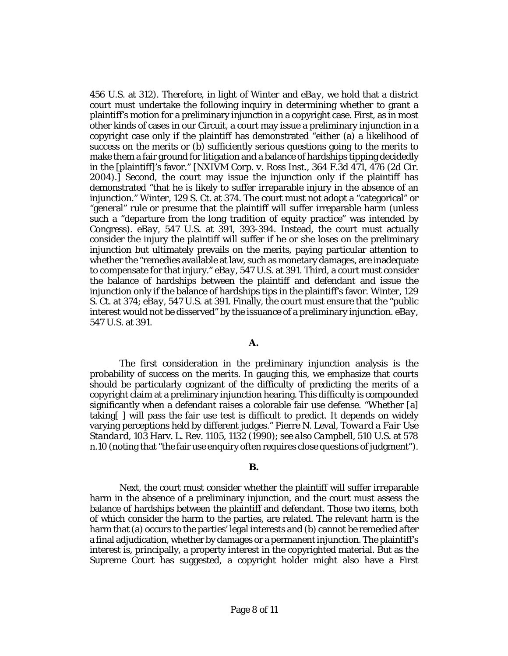456 U.S. at 312). Therefore, in light of *Winter* and *eBay*, we hold that a district court must undertake the following inquiry in determining whether to grant a plaintiff's motion for a preliminary injunction in a copyright case. First, as in most other kinds of cases in our Circuit, a court may issue a preliminary injunction in a copyright case only if the plaintiff has demonstrated "either (a) a likelihood of success on the merits or (b) sufficiently serious questions going to the merits to make them a fair ground for litigation and a balance of hardships tipping decidedly in the [plaintiff]'s favor." [*NXIVM Corp. v. Ross Inst.*, 364 F.3d 471, 476 (2d Cir. 2004).] Second, the court may issue the injunction only if the plaintiff has demonstrated "that he is likely to suffer irreparable injury in the absence of an injunction." *Winter*, 129 S. Ct. at 374. The court must not adopt a "categorical" or "general" rule or presume that the plaintiff will suffer irreparable harm (unless such a "departure from the long tradition of equity practice" was intended by Congress). *eBay*, 547 U.S. at 391, 393-394. Instead, the court must actually consider the injury the plaintiff will suffer if he or she loses on the preliminary injunction but ultimately prevails on the merits, paying particular attention to whether the "remedies available at law, such as monetary damages, are inadequate to compensate for that injury." *eBay*, 547 U.S. at 391. Third, a court must consider the balance of hardships between the plaintiff and defendant and issue the injunction only if the balance of hardships tips in the plaintiff's favor. *Winter*, 129 S. Ct. at 374; *eBay*, 547 U.S. at 391. Finally, the court must ensure that the "public interest would not be disserved" by the issuance of a preliminary injunction. *eBay*, 547 U.S. at 391.

## *A.*

The first consideration in the preliminary injunction analysis is the probability of success on the merits. In gauging this, we emphasize that courts should be particularly cognizant of the difficulty of predicting the merits of a copyright claim at a preliminary injunction hearing. This difficulty is compounded significantly when a defendant raises a colorable fair use defense. "Whether [a] taking[ ] will pass the fair use test is difficult to predict. It depends on widely varying perceptions held by different judges." Pierre N. Leval, *Toward a Fair Use Standard,* 103 Harv. L. Rev. 1105, 1132 (1990); *see also Campbell*, 510 U.S. at 578 n.10 (noting that "the fair use enquiry often requires close questions of judgment").

## *B.*

Next, the court must consider whether the plaintiff will suffer irreparable harm in the absence of a preliminary injunction, and the court must assess the balance of hardships between the plaintiff and defendant. Those two items, both of which consider the harm to the parties, are related. The relevant harm is the harm that (a) occurs to the parties' legal interests and (b) cannot be remedied after a final adjudication, whether by damages or a permanent injunction. The plaintiff's interest is, principally, a property interest in the copyrighted material. But as the Supreme Court has suggested, a copyright holder might also have a First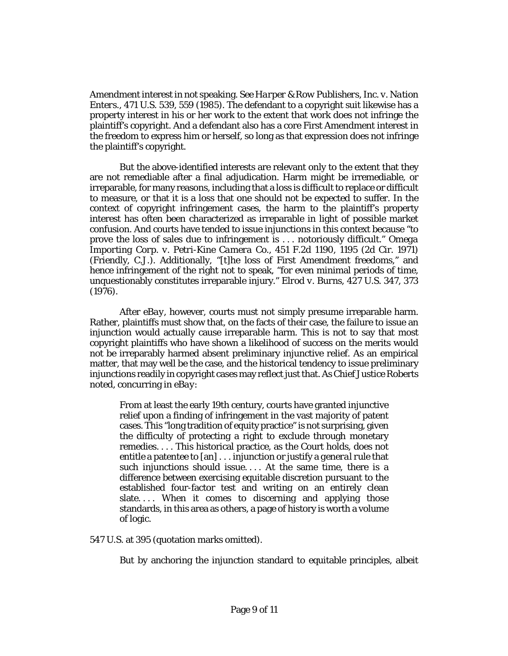Amendment interest in *not* speaking. *See Harper & Row Publishers, Inc. v. Nation Enters.*, 471 U.S. 539, 559 (1985). The defendant to a copyright suit likewise has a property interest in his or her work to the extent that work does not infringe the plaintiff's copyright. And a defendant also has a core First Amendment interest in the freedom to express him or herself, so long as that expression does not infringe the plaintiff's copyright.

But the above-identified interests are relevant only to the extent that they are not remediable after a final adjudication. Harm might be irremediable, or irreparable, for many reasons, including that a loss is difficult to replace or difficult to measure, or that it is a loss that one should not be expected to suffer. In the context of copyright infringement cases, the harm to the plaintiff's property interest has often been characterized as irreparable in light of possible market confusion. And courts have tended to issue injunctions in this context because "to prove the loss of sales due to infringement is . . . notoriously difficult." *Omega Importing Corp. v. Petri-Kine Camera Co.*, 451 F.2d 1190, 1195 (2d Cir. 1971) (Friendly, *C.J.*). Additionally, "[t]he loss of First Amendment freedoms," and hence infringement of the right *not* to speak, "for even minimal periods of time, unquestionably constitutes irreparable injury." *Elrod v. Burns,* 427 U.S. 347, 373 (1976).

After *eBay*, however, courts must not simply presume irreparable harm. Rather, plaintiffs must show that, on the facts of their case, the failure to issue an injunction would actually cause irreparable harm. This is not to say that most copyright plaintiffs who have shown a likelihood of success on the merits would not be irreparably harmed absent preliminary injunctive relief. As an empirical matter, that may well be the case, and the historical tendency to issue preliminary injunctions readily in copyright cases may reflect just that. As Chief Justice Roberts noted, concurring in *eBay*:

From at least the early 19th century, courts have granted injunctive relief upon a finding of infringement in the vast majority of patent cases. This "long tradition of equity practice" is not surprising, given the difficulty of protecting a right to *exclude* through monetary remedies. . . . This historical practice, as the Court holds, does not *entitle* a patentee to [an] . . . injunction or justify a *general rule* that such injunctions should issue.... At the same time, there is a difference between exercising equitable discretion pursuant to the established four-factor test and writing on an entirely clean slate.... When it comes to discerning and applying those standards, in this area as others, a page of history is worth a volume of logic.

547 U.S. at 395 (quotation marks omitted).

But by anchoring the injunction standard to equitable principles, albeit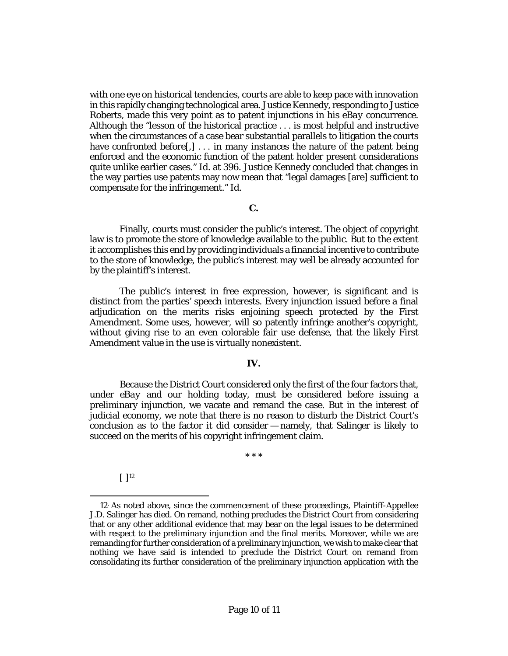with one eye on historical tendencies, courts are able to keep pace with innovation in this rapidly changing technological area. Justice Kennedy, responding to Justice Roberts, made this very point as to patent injunctions in his *eBay* concurrence. Although the "lesson of the historical practice . . . is most helpful and instructive when the circumstances of a case bear substantial parallels to litigation the courts have confronted before,  $\vert \cdot \vert$ ... in many instances the nature of the patent being enforced and the economic function of the patent holder present considerations quite unlike earlier cases." *Id.* at 396. Justice Kennedy concluded that changes in the way parties use patents may now mean that "legal damages [are] sufficient to compensate for the infringement." *Id.*

#### *C.*

Finally, courts must consider the public's interest. The object of copyright law is to promote the store of knowledge available to the public. But to the extent it accomplishes this end by providing individuals a financial incentive to contribute to the store of knowledge, the public's interest may well be already accounted for by the plaintiff's interest.

The public's interest in free expression, however, is significant and is distinct from the parties' speech interests. Every injunction issued before a final adjudication on the merits risks enjoining speech protected by the First Amendment. Some uses, however, will so patently infringe another's copyright, without giving rise to an even colorable fair use defense, that the likely First Amendment value in the use is virtually nonexistent.

## **IV.**

Because the District Court considered only the first of the four factors that, under *eBay* and our holding today, must be considered before issuing a preliminary injunction, we vacate and remand the case. But in the interest of judicial economy, we note that there is no reason to disturb the District Court's conclusion as to the factor it did consider — namely, that Salinger is likely to succeed on the merits of his copyright infringement claim.

\* \* \*

 $[ ]^{12}$  $[ ]^{12}$  $[ ]^{12}$ 

<span id="page-9-0"></span> $\overline{a}$ 12. As noted above, since the commencement of these proceedings, Plaintiff-Appellee J.D. Salinger has died. On remand, nothing precludes the District Court from considering that or any other additional evidence that may bear on the legal issues to be determined with respect to the preliminary injunction and the final merits. Moreover, while we are remanding for further consideration of a preliminary injunction, we wish to make clear that nothing we have said is intended to preclude the District Court on remand from consolidating its further consideration of the preliminary injunction application with the